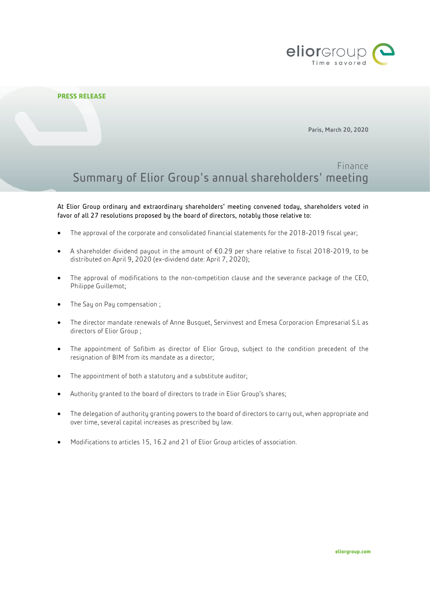

## **PRESS RELEASE**

Paris, March 20, 2020

# Finance Summary of Elior Group's annual shareholders' meeting

At Elior Group ordinary and extraordinary shareholders' meeting convened today, shareholders voted in favor of all 27 resolutions proposed by the board of directors, notably those relative to:

- The approval of the corporate and consolidated financial statements for the 2018-2019 fiscal year;
- A shareholder dividend payout in the amount of €0.29 per share relative to fiscal 2018-2019, to be distributed on April 9, 2020 (ex-dividend date: April 7, 2020);
- The approval of modifications to the non-competition clause and the severance package of the CEO, Philippe Guillemot;
- The Say on Pay compensation;
- The director mandate renewals of Anne Busquet, Servinvest and Emesa Corporacion Empresarial S.L as directors of Elior Group ;
- The appointment of Sofibim as director of Elior Group, subject to the condition precedent of the resignation of BIM from its mandate as a director;
- The appointment of both a statutory and a substitute auditor;
- Authority granted to the board of directors to trade in Elior Group's shares;
- The delegation of authority granting powers to the board of directors to carry out, when appropriate and over time, several capital increases as prescribed by law.
- Modifications to articles 15, 16.2 and 21 of Elior Group articles of association.